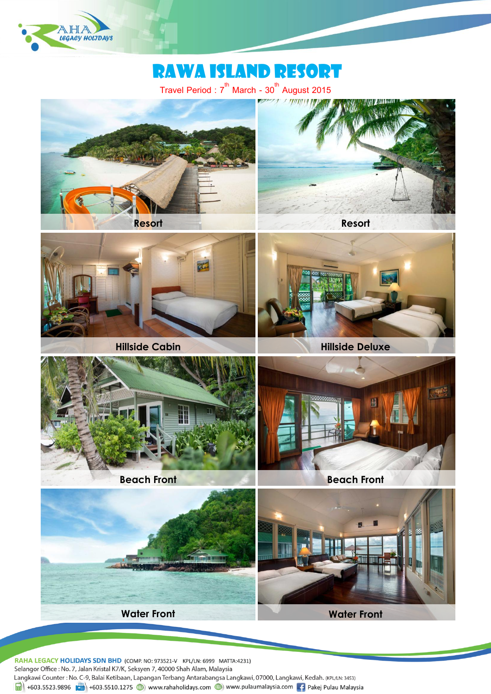

# Rawa Island resort

Travel Period :  $7^{\text{th}}$  March -  $30^{\text{th}}$  August 2015



RAHA LEGACY HOLIDAYS SDN BHD (COMP. NO: 973521-V KPL/LN: 6999 MATTA:4231) Selangor Office: No. 7, Jalan Kristal K7/K, Seksyen 7, 40000 Shah Alam, Malaysia Langkawi Counter: No. C-9, Balai Ketibaan, Lapangan Terbang Antarabangsa Langkawi, 07000, Langkawi, Kedah. (KPL/LN: 3453)  $\frac{1}{\ln 1}$  +603.5523.9896  $\frac{1}{\ln 2}$  +603.5510.1275 (b) www.rahaholidays.com (b) www.pulaumalaysia.com  $\frac{1}{\ln 2}$  Pakej Pulau Malaysia